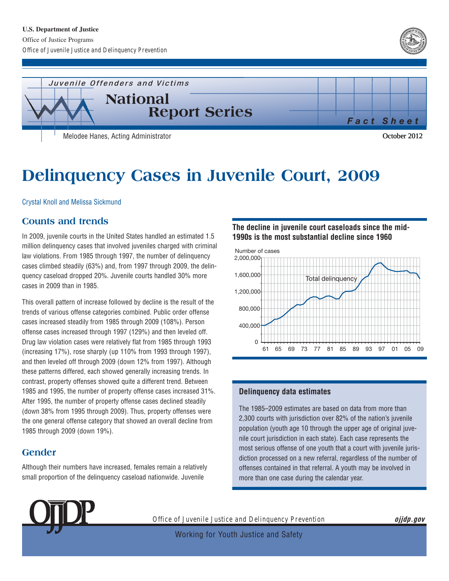



# **Delinquency Cases in Juvenile Court, 2009**

Crystal Knoll and Melissa Sickmund

## **Counts and trends**

In 2009, juvenile courts in the United States handled an estimated 1.5 million delinquency cases that involved juveniles charged with criminal law violations. From 1985 through 1997, the number of delinquency cases climbed steadily (63%) and, from 1997 through 2009, the delinquency caseload dropped 20%. Juvenile courts handled 30% more cases in 2009 than in 1985.

This overall pattern of increase followed by decline is the result of the trends of various offense categories combined. Public order offense cases increased steadily from 1985 through 2009 (108%). Person offense cases increased through 1997 (129%) and then leveled off. Drug law violation cases were relatively flat from 1985 through 1993 (increasing 17%), rose sharply (up 110% from 1993 through 1997), and then leveled off through 2009 (down 12% from 1997). Although these patterns differed, each showed generally increasing trends. In contrast, property offenses showed quite a different trend. Between 1985 and 1995, the number of property offense cases increased 31%. After 1995, the number of property offense cases declined steadily (down 38% from 1995 through 2009). Thus, property offenses were the one general offense category that showed an overall decline from 1985 through 2009 (down 19%).

# **Gender**

Although their numbers have increased, females remain a relatively small proportion of the delinquency caseload nationwide. Juvenile

**The decline in juvenile court caseloads since the mid-1990s is the most substantial decline since 1960** 



#### **Delinquency data estimates**

The 1985–2009 estimates are based on data from more than 2,300 courts with jurisdiction over 82% of the nation's juvenile population (youth age 10 through the upper age of original juvenile court jurisdiction in each state). Each case represents the most serious offense of one youth that a court with juvenile jurisdiction processed on a new referral, regardless of the number of offenses contained in that referral. A youth may be involved in more than one case during the calendar year.



*Office of Juvenile Justice and Delinquency Prevention* **ojjdp.gov** 

Working for Youth Justice and Safety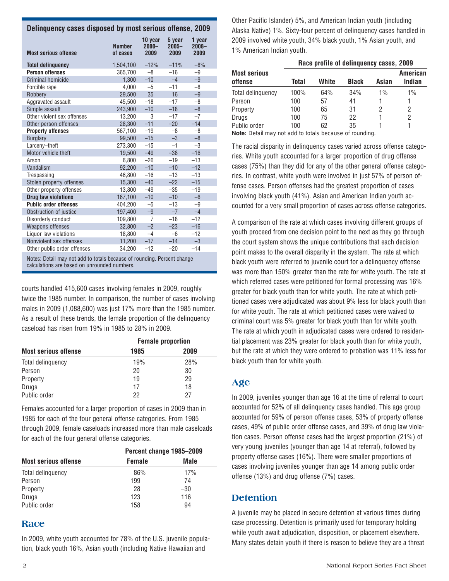| <u>Definiquency cases alsposed by Hinst Serious Oficiise, Cons</u>      |                           |                             |                            |                            |
|-------------------------------------------------------------------------|---------------------------|-----------------------------|----------------------------|----------------------------|
| <b>Most serious offense</b>                                             | <b>Number</b><br>of cases | 10 year<br>$2000 -$<br>2009 | 5 year<br>$2005 -$<br>2009 | 1 year<br>$2008 -$<br>2009 |
| <b>Total delinguency</b>                                                | 1,504,100                 | $-12%$                      | $-11%$                     | $-8%$                      |
| <b>Person offenses</b>                                                  | 365,700                   | $-8$                        | $-16$                      | $-9$                       |
| <b>Criminal homicide</b>                                                | 1.300                     | $-10$                       | $-4$                       | $-9$                       |
| Forcible rape                                                           | 4,000                     | $-5$                        | $-11$                      | $-8$                       |
| Robbery                                                                 | 29,500                    | 35                          | 16                         | $-9$                       |
| Aggravated assault                                                      | 45,500                    | $-18$                       | $-17$                      | $-8$                       |
| Simple assault                                                          | 243,900                   | $-10$                       | $-18$                      | $-8$                       |
| Other violent sex offenses                                              | 13,200                    | 3                           | $-17$                      | $-7$                       |
| Other person offenses                                                   | 28.300                    | $-11$                       | $-20$                      | $-14$                      |
| <b>Property offenses</b>                                                | 567,100                   | $-19$                       | $-8$                       | $-8$                       |
| <b>Burglary</b>                                                         | 99,500                    | $-15$                       | $-3$                       | $-8$                       |
| Larceny-theft                                                           | 273,300                   | $-15$                       | $-1$                       | $-3$                       |
| Motor vehicle theft                                                     | 19,500                    | $-49$                       | $-38$                      | $-16$                      |
| Arson                                                                   | 6,800                     | $-26$                       | $-19$                      | $-13$                      |
| Vandalism                                                               | 92.200                    | $-10$                       | $-10$                      | $-12$                      |
| Trespassing                                                             | 46,800                    | $-16$                       | $-13$                      | $-13$                      |
| Stolen property offenses                                                | 15.300                    | $-40$                       | $-22$                      | $-15$                      |
| Other property offenses                                                 | 13,800                    | $-49$                       | $-35$                      | $-19$                      |
| <b>Drug law violations</b>                                              | 167,100                   | $-10$                       | $-10$                      | $-6$                       |
| <b>Public order offenses</b>                                            | 404,200                   | $-5$                        | $-13$                      | $-9$                       |
| Obstruction of justice                                                  | 197,400                   | $-9$                        | $-7$                       | $-4$                       |
| Disorderly conduct                                                      | 109,800                   | $\overline{7}$              | $-18$                      | $-12$                      |
| <b>Weapons offenses</b>                                                 | 32.800                    | $-2$                        | $-23$                      | $-16$                      |
| Liquor law violations                                                   | 18,800                    | $-4$                        | $-6$                       | $-12$                      |
| Nonviolent sex offenses                                                 | 11,200                    | $-17$                       | $-14$                      | $-3$                       |
| Other public order offenses                                             | 34,200                    | $-12$                       | $-20$                      | $-14$                      |
| Notes: Detail may not add to totals because of rounding. Percent change |                           |                             |                            |                            |

**Delinquency cases disposed by most serious offense, 2009** 

calculations are based on unrounded numbers.

courts handled 415,600 cases involving females in 2009, roughly twice the 1985 number. In comparison, the number of cases involving males in 2009 (1,088,600) was just 17% more than the 1985 number. As a result of these trends, the female proportion of the delinquency caseload has risen from 19% in 1985 to 28% in 2009.

|                             | <b>Female proportion</b> |      |  |  |
|-----------------------------|--------------------------|------|--|--|
| <b>Most serious offense</b> | 1985                     | 2009 |  |  |
| Total delinquency           | 19%                      | 28%  |  |  |
| Person                      | 20                       | 30   |  |  |
| Property                    | 19                       | 29   |  |  |
| Drugs                       | 17                       | 18   |  |  |
| Public order                | 22                       | 27   |  |  |

Females accounted for a larger proportion of cases in 2009 than in 1985 for each of the four general offense categories. From 1985 through 2009, female caseloads increased more than male caseloads for each of the four general offense categories.

|                             | Percent change 1985-2009 |       |  |  |
|-----------------------------|--------------------------|-------|--|--|
| <b>Most serious offense</b> | <b>Female</b>            | Male  |  |  |
| Total delinguency           | 86%                      | 17%   |  |  |
| Person                      | 199                      | 74    |  |  |
| Property                    | 28                       | $-30$ |  |  |
| Drugs                       | 123                      | 116   |  |  |
| Public order                | 158                      | 94    |  |  |

#### **Race**

In 2009, white youth accounted for 78% of the U.S. juvenile population, black youth 16%, Asian youth (including Native Hawaiian and

Other Pacific Islander) 5%, and American Indian youth (including Alaska Native) 1%. Sixty-four percent of delinquency cases handled in 2009 involved white youth, 34% black youth, 1% Asian youth, and 1% American Indian youth.

| <b>Most serious</b><br>offense                          | Race profile of delinguency cases, 2009 |       |              |       |                           |  |
|---------------------------------------------------------|-----------------------------------------|-------|--------------|-------|---------------------------|--|
|                                                         | Total                                   | White | <b>Black</b> | Asian | <b>American</b><br>Indian |  |
| Total delinguency                                       | 100%                                    | 64%   | 34%          | $1\%$ | $1\%$                     |  |
| Person                                                  | 100                                     | 57    | 41           |       |                           |  |
| Property                                                | 100                                     | 65    | 31           | 2     | 2                         |  |
| Drugs                                                   | 100                                     | 75    | 22           |       | 2                         |  |
| Public order                                            | 100                                     | 62    | 35           |       |                           |  |
| Note: Detail may not add to totals because of rounding. |                                         |       |              |       |                           |  |

The racial disparity in delinquency cases varied across offense categories. White youth accounted for a larger proportion of drug offense cases (75%) than they did for any of the other general offense categories. In contrast, white youth were involved in just 57% of person offense cases. Person offenses had the greatest proportion of cases involving black youth (41%). Asian and American Indian youth accounted for a very small proportion of cases across offense categories.

A comparison of the rate at which cases involving different groups of youth proceed from one decision point to the next as they go through the court system shows the unique contributions that each decision point makes to the overall disparity in the system. The rate at which black youth were referred to juvenile court for a delinquency offense was more than 150% greater than the rate for white youth. The rate at which referred cases were petitioned for formal processing was 16% greater for black youth than for white youth. The rate at which petitioned cases were adjudicated was about 9% less for black youth than for white youth. The rate at which petitioned cases were waived to criminal court was 5% greater for black youth than for white youth. The rate at which youth in adjudicated cases were ordered to residential placement was 23% greater for black youth than for white youth, but the rate at which they were ordered to probation was 11% less for black youth than for white youth.

## **Age**

In 2009, juveniles younger than age 16 at the time of referral to court accounted for 52% of all delinquency cases handled. This age group accounted for 59% of person offense cases, 53% of property offense cases, 49% of public order offense cases, and 39% of drug law violation cases. Person offense cases had the largest proportion (21%) of very young juveniles (younger than age 14 at referral), followed by property offense cases (16%). There were smaller proportions of cases involving juveniles younger than age 14 among public order offense (13%) and drug offense (7%) cases.

# **Detention**

A juvenile may be placed in secure detention at various times during case processing. Detention is primarily used for temporary holding while youth await adjudication, disposition, or placement elsewhere. Many states detain youth if there is reason to believe they are a threat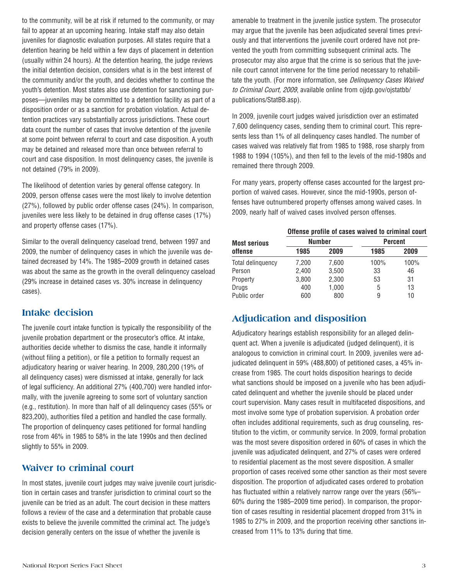to the community, will be at risk if returned to the community, or may fail to appear at an upcoming hearing. Intake staff may also detain juveniles for diagnostic evaluation purposes. All states require that a detention hearing be held within a few days of placement in detention (usually within 24 hours). At the detention hearing, the judge reviews the initial detention decision, considers what is in the best interest of the community and/or the youth, and decides whether to continue the youth's detention. Most states also use detention for sanctioning purposes—juveniles may be committed to a detention facility as part of a disposition order or as a sanction for probation violation. Actual detention practices vary substantially across jurisdictions. These court data count the number of cases that involve detention of the juvenile at some point between referral to court and case disposition. A youth may be detained and released more than once between referral to court and case disposition. In most delinquency cases, the juvenile is not detained (79% in 2009).

The likelihood of detention varies by general offense category. In 2009, person offense cases were the most likely to involve detention (27%), followed by public order offense cases (24%). In comparison, juveniles were less likely to be detained in drug offense cases (17%) and property offense cases (17%).

Similar to the overall delinquency caseload trend, between 1997 and 2009, the number of delinquency cases in which the juvenile was detained decreased by 14%. The 1985–2009 growth in detained cases was about the same as the growth in the overall delinquency caseload (29% increase in detained cases vs. 30% increase in delinquency cases).

## **Intake decision**

The juvenile court intake function is typically the responsibility of the juvenile probation department or the prosecutor's office. At intake, authorities decide whether to dismiss the case, handle it informally (without filing a petition), or file a petition to formally request an adjudicatory hearing or waiver hearing. In 2009, 280,200 (19% of all delinquency cases) were dismissed at intake, generally for lack of legal sufficiency. An additional 27% (400,700) were handled informally, with the juvenile agreeing to some sort of voluntary sanction (e.g., restitution). In more than half of all delinquency cases (55% or 823,200), authorities filed a petition and handled the case formally. The proportion of delinquency cases petitioned for formal handling rose from 46% in 1985 to 58% in the late 1990s and then declined slightly to 55% in 2009.

## **Waiver to criminal court**

In most states, juvenile court judges may waive juvenile court jurisdiction in certain cases and transfer jurisdiction to criminal court so the juvenile can be tried as an adult. The court decision in these matters follows a review of the case and a determination that probable cause exists to believe the juvenile committed the criminal act. The judge's decision generally centers on the issue of whether the juvenile is

amenable to treatment in the juvenile justice system. The prosecutor may argue that the juvenile has been adjudicated several times previously and that interventions the juvenile court ordered have not prevented the youth from committing subsequent criminal acts. The prosecutor may also argue that the crime is so serious that the juvenile court cannot intervene for the time period necessary to rehabilitate the youth. (For more information, see Delinquency Cases Waived to Criminal Court, 2009, available online from ojjdp.gov/ojstatbb/ publications/StatBB.asp).

In 2009, juvenile court judges waived jurisdiction over an estimated 7,600 delinquency cases, sending them to criminal court. This represents less than 1% of all delinquency cases handled. The number of cases waived was relatively flat from 1985 to 1988, rose sharply from 1988 to 1994 (105%), and then fell to the levels of the mid-1980s and remained there through 2009.

For many years, property offense cases accounted for the largest proportion of waived cases. However, since the mid-1990s, person offenses have outnumbered property offenses among waived cases. In 2009, nearly half of waived cases involved person offenses.

| <b>Most serious</b><br>offense | Offense profile of cases waived to criminal court |       |                |      |  |
|--------------------------------|---------------------------------------------------|-------|----------------|------|--|
|                                | <b>Number</b>                                     |       | <b>Percent</b> |      |  |
|                                | 1985                                              | 2009  | 1985           | 2009 |  |
| Total delinquency              | 7,200                                             | 7,600 | 100%           | 100% |  |
| Person                         | 2,400                                             | 3,500 | 33             | 46   |  |
| Property                       | 3,800                                             | 2,300 | 53             | 31   |  |
| Drugs                          | 400                                               | 1,000 | 5              | 13   |  |
| Public order                   | 600                                               | 800   | 9              | 10   |  |

# **Adjudication and disposition**

Adjudicatory hearings establish responsibility for an alleged delinquent act. When a juvenile is adjudicated (judged delinquent), it is analogous to conviction in criminal court. In 2009, juveniles were adjudicated delinquent in 59% (488,800) of petitioned cases, a 45% increase from 1985. The court holds disposition hearings to decide what sanctions should be imposed on a juvenile who has been adjudicated delinquent and whether the juvenile should be placed under court supervision. Many cases result in multifaceted dispositions, and most involve some type of probation supervision. A probation order often includes additional requirements, such as drug counseling, restitution to the victim, or community service. In 2009, formal probation was the most severe disposition ordered in 60% of cases in which the juvenile was adjudicated delinquent, and 27% of cases were ordered to residential placement as the most severe disposition. A smaller proportion of cases received some other sanction as their most severe disposition. The proportion of adjudicated cases ordered to probation has fluctuated within a relatively narrow range over the years (56%– 60% during the 1985–2009 time period). In comparison, the proportion of cases resulting in residential placement dropped from 31% in 1985 to 27% in 2009, and the proportion receiving other sanctions increased from 11% to 13% during that time.